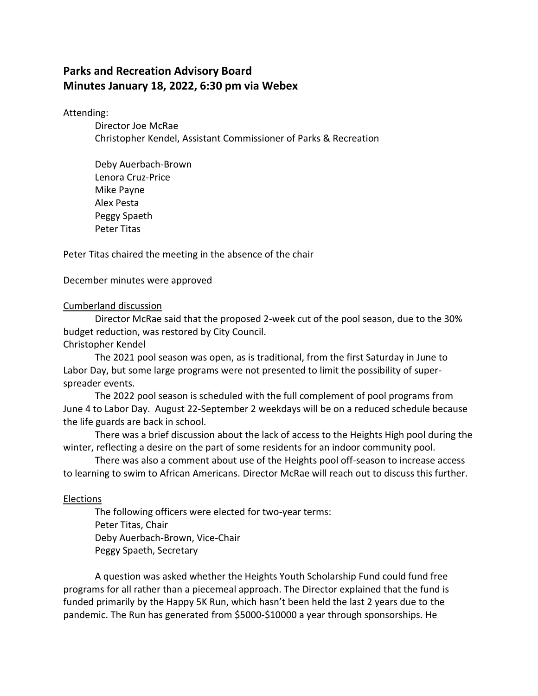# **Parks and Recreation Advisory Board Minutes January 18, 2022, 6:30 pm via Webex**

Attending:

Director Joe McRae Christopher Kendel, Assistant Commissioner of Parks & Recreation

Deby Auerbach-Brown Lenora Cruz-Price Mike Payne Alex Pesta Peggy Spaeth Peter Titas

Peter Titas chaired the meeting in the absence of the chair

December minutes were approved

## Cumberland discussion

Director McRae said that the proposed 2-week cut of the pool season, due to the 30% budget reduction, was restored by City Council.

Christopher Kendel

The 2021 pool season was open, as is traditional, from the first Saturday in June to Labor Day, but some large programs were not presented to limit the possibility of superspreader events.

The 2022 pool season is scheduled with the full complement of pool programs from June 4 to Labor Day. August 22-September 2 weekdays will be on a reduced schedule because the life guards are back in school.

There was a brief discussion about the lack of access to the Heights High pool during the winter, reflecting a desire on the part of some residents for an indoor community pool.

There was also a comment about use of the Heights pool off-season to increase access to learning to swim to African Americans. Director McRae will reach out to discuss this further.

## Elections

The following officers were elected for two-year terms: Peter Titas, Chair Deby Auerbach-Brown, Vice-Chair Peggy Spaeth, Secretary

A question was asked whether the Heights Youth Scholarship Fund could fund free programs for all rather than a piecemeal approach. The Director explained that the fund is funded primarily by the Happy 5K Run, which hasn't been held the last 2 years due to the pandemic. The Run has generated from \$5000-\$10000 a year through sponsorships. He